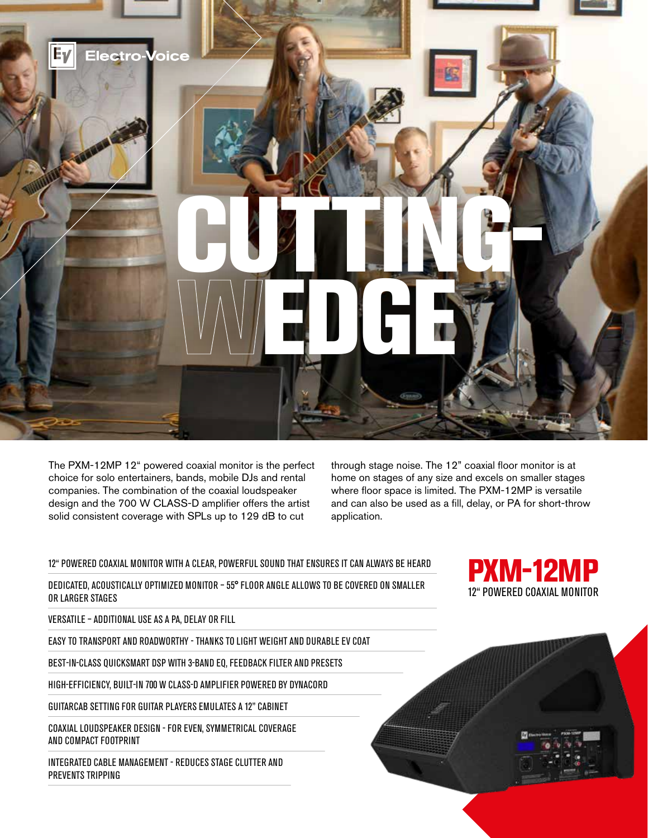

The PXM-12MP 12" powered coaxial monitor is the perfect choice for solo entertainers, bands, mobile DJs and rental companies. The combination of the coaxial loudspeaker design and the 700 W CLASS-D amplifier offers the artist solid consistent coverage with SPLs up to 129 dB to cut

through stage noise. The 12" coaxial floor monitor is at home on stages of any size and excels on smaller stages where floor space is limited. The PXM-12MP is versatile and can also be used as a fill, delay, or PA for short-throw application.

## 12" POWERED COAXIAL MONITOR WITH A CLEAR, POWERFUL SOUND THAT ENSURES IT CAN ALWAYS BE HEARD

DEDICATED, ACOUSTICALLY OPTIMIZED MONITOR – 55° FLOOR ANGLE ALLOWS TO BE COVERED ON SMALLER OR LARGER STAGES

VERSATILE – ADDITIONAL USE AS A PA, DELAY OR FILL

EASY TO TRANSPORT AND ROADWORTHY - THANKS TO LIGHT WEIGHT AND DURABLE EV COAT

BEST-IN-CLASS QUICKSMART DSP WITH 3-BAND EQ, FEEDBACK FILTER AND PRESETS

HIGH-EFFICIENCY, BUILT-IN 700 W CLASS-D AMPLIFIER POWERED BY DYNACORD

GUITARCAB SETTING FOR GUITAR PLAYERS EMULATES A 12" CABINET

COAXIAL LOUDSPEAKER DESIGN - FOR EVEN, SYMMETRICAL COVERAGE AND COMPACT FOOTPRINT

INTEGRATED CABLE MANAGEMENT - REDUCES STAGE CLUTTER AND PREVENTS TRIPPING